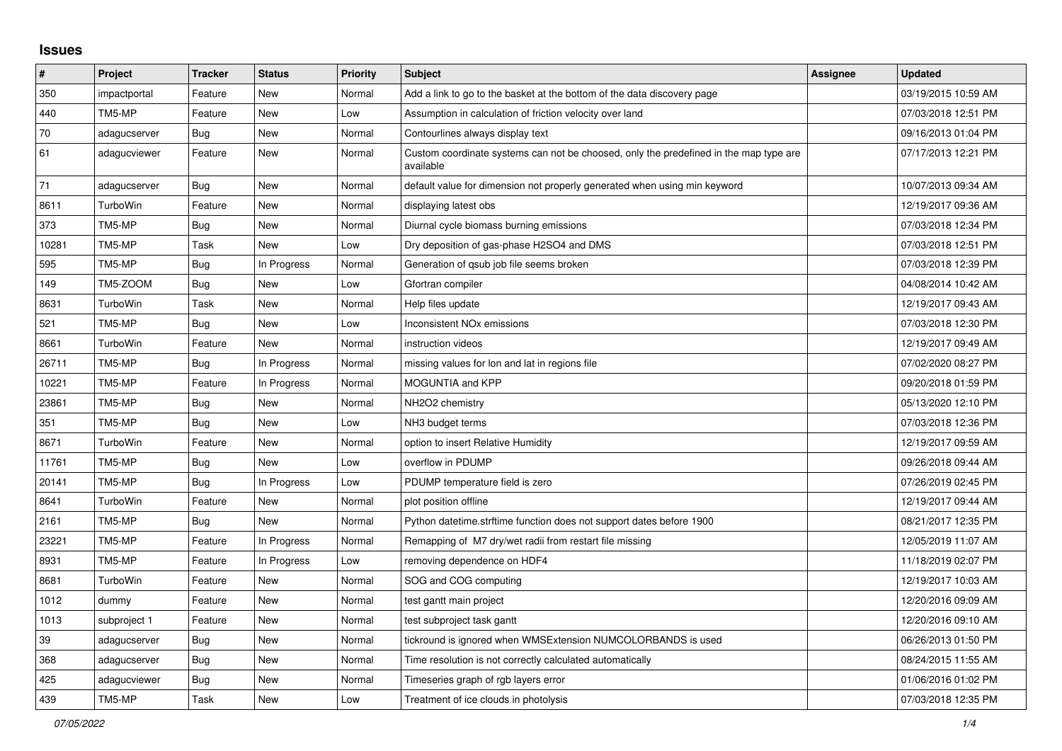## **Issues**

| ∦     | Project      | <b>Tracker</b> | <b>Status</b> | Priority | <b>Subject</b>                                                                                     | Assignee | <b>Updated</b>      |
|-------|--------------|----------------|---------------|----------|----------------------------------------------------------------------------------------------------|----------|---------------------|
| 350   | impactportal | Feature        | <b>New</b>    | Normal   | Add a link to go to the basket at the bottom of the data discovery page                            |          | 03/19/2015 10:59 AM |
| 440   | TM5-MP       | Feature        | <b>New</b>    | Low      | Assumption in calculation of friction velocity over land                                           |          | 07/03/2018 12:51 PM |
| 70    | adagucserver | <b>Bug</b>     | <b>New</b>    | Normal   | Contourlines always display text                                                                   |          | 09/16/2013 01:04 PM |
| 61    | adagucviewer | Feature        | New           | Normal   | Custom coordinate systems can not be choosed, only the predefined in the map type are<br>available |          | 07/17/2013 12:21 PM |
| 71    | adagucserver | Bug            | <b>New</b>    | Normal   | default value for dimension not properly generated when using min keyword                          |          | 10/07/2013 09:34 AM |
| 8611  | TurboWin     | Feature        | <b>New</b>    | Normal   | displaying latest obs                                                                              |          | 12/19/2017 09:36 AM |
| 373   | TM5-MP       | Bug            | <b>New</b>    | Normal   | Diurnal cycle biomass burning emissions                                                            |          | 07/03/2018 12:34 PM |
| 10281 | TM5-MP       | Task           | <b>New</b>    | Low      | Dry deposition of gas-phase H2SO4 and DMS                                                          |          | 07/03/2018 12:51 PM |
| 595   | TM5-MP       | Bug            | In Progress   | Normal   | Generation of gsub job file seems broken                                                           |          | 07/03/2018 12:39 PM |
| 149   | TM5-ZOOM     | Bug            | <b>New</b>    | Low      | Gfortran compiler                                                                                  |          | 04/08/2014 10:42 AM |
| 8631  | TurboWin     | Task           | <b>New</b>    | Normal   | Help files update                                                                                  |          | 12/19/2017 09:43 AM |
| 521   | TM5-MP       | Bug            | New           | Low      | <b>Inconsistent NOx emissions</b>                                                                  |          | 07/03/2018 12:30 PM |
| 8661  | TurboWin     | Feature        | <b>New</b>    | Normal   | instruction videos                                                                                 |          | 12/19/2017 09:49 AM |
| 26711 | TM5-MP       | Bug            | In Progress   | Normal   | missing values for lon and lat in regions file                                                     |          | 07/02/2020 08:27 PM |
| 10221 | TM5-MP       | Feature        | In Progress   | Normal   | <b>MOGUNTIA and KPP</b>                                                                            |          | 09/20/2018 01:59 PM |
| 23861 | TM5-MP       | <b>Bug</b>     | <b>New</b>    | Normal   | NH2O2 chemistry                                                                                    |          | 05/13/2020 12:10 PM |
| 351   | TM5-MP       | Bug            | <b>New</b>    | Low      | NH3 budget terms                                                                                   |          | 07/03/2018 12:36 PM |
| 8671  | TurboWin     | Feature        | New           | Normal   | option to insert Relative Humidity                                                                 |          | 12/19/2017 09:59 AM |
| 11761 | TM5-MP       | <b>Bug</b>     | New           | Low      | overflow in PDUMP                                                                                  |          | 09/26/2018 09:44 AM |
| 20141 | TM5-MP       | <b>Bug</b>     | In Progress   | Low      | PDUMP temperature field is zero                                                                    |          | 07/26/2019 02:45 PM |
| 8641  | TurboWin     | Feature        | <b>New</b>    | Normal   | plot position offline                                                                              |          | 12/19/2017 09:44 AM |
| 2161  | TM5-MP       | <b>Bug</b>     | New           | Normal   | Python datetime.strftime function does not support dates before 1900                               |          | 08/21/2017 12:35 PM |
| 23221 | TM5-MP       | Feature        | In Progress   | Normal   | Remapping of M7 dry/wet radii from restart file missing                                            |          | 12/05/2019 11:07 AM |
| 8931  | TM5-MP       | Feature        | In Progress   | Low      | removing dependence on HDF4                                                                        |          | 11/18/2019 02:07 PM |
| 8681  | TurboWin     | Feature        | New           | Normal   | SOG and COG computing                                                                              |          | 12/19/2017 10:03 AM |
| 1012  | dummy        | Feature        | <b>New</b>    | Normal   | test gantt main project                                                                            |          | 12/20/2016 09:09 AM |
| 1013  | subproject 1 | Feature        | <b>New</b>    | Normal   | test subproject task gantt                                                                         |          | 12/20/2016 09:10 AM |
| 39    | adagucserver | Bug            | <b>New</b>    | Normal   | tickround is ignored when WMSExtension NUMCOLORBANDS is used                                       |          | 06/26/2013 01:50 PM |
| 368   | adagucserver | Bug            | New           | Normal   | Time resolution is not correctly calculated automatically                                          |          | 08/24/2015 11:55 AM |
| 425   | adagucviewer | Bug            | New           | Normal   | Timeseries graph of rgb layers error                                                               |          | 01/06/2016 01:02 PM |
| 439   | TM5-MP       | Task           | New           | Low      | Treatment of ice clouds in photolysis                                                              |          | 07/03/2018 12:35 PM |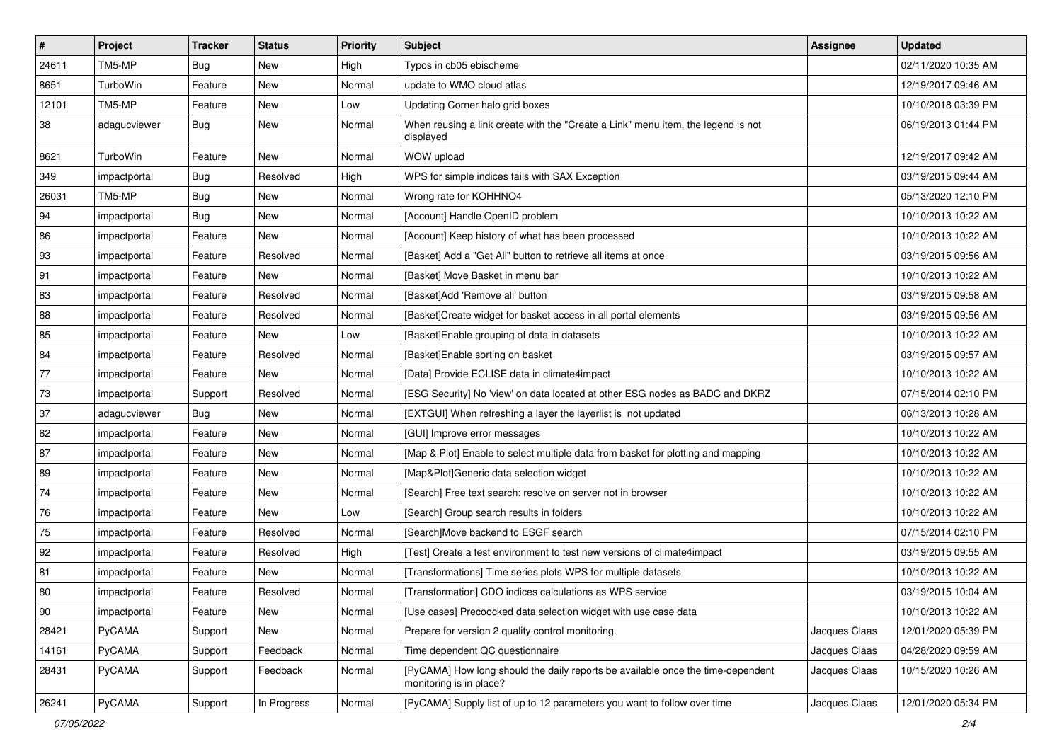| $\vert$ # | Project      | <b>Tracker</b> | <b>Status</b> | <b>Priority</b> | <b>Subject</b>                                                                                             | <b>Assignee</b> | <b>Updated</b>      |
|-----------|--------------|----------------|---------------|-----------------|------------------------------------------------------------------------------------------------------------|-----------------|---------------------|
| 24611     | TM5-MP       | <b>Bug</b>     | New           | High            | Typos in cb05 ebischeme                                                                                    |                 | 02/11/2020 10:35 AM |
| 8651      | TurboWin     | Feature        | <b>New</b>    | Normal          | update to WMO cloud atlas                                                                                  |                 | 12/19/2017 09:46 AM |
| 12101     | TM5-MP       | Feature        | New           | Low             | Updating Corner halo grid boxes                                                                            |                 | 10/10/2018 03:39 PM |
| 38        | adagucviewer | Bug            | New           | Normal          | When reusing a link create with the "Create a Link" menu item, the legend is not<br>displayed              |                 | 06/19/2013 01:44 PM |
| 8621      | TurboWin     | Feature        | New           | Normal          | WOW upload                                                                                                 |                 | 12/19/2017 09:42 AM |
| 349       | impactportal | <b>Bug</b>     | Resolved      | High            | WPS for simple indices fails with SAX Exception                                                            |                 | 03/19/2015 09:44 AM |
| 26031     | TM5-MP       | <b>Bug</b>     | New           | Normal          | Wrong rate for KOHHNO4                                                                                     |                 | 05/13/2020 12:10 PM |
| 94        | impactportal | <b>Bug</b>     | <b>New</b>    | Normal          | [Account] Handle OpenID problem                                                                            |                 | 10/10/2013 10:22 AM |
| 86        | impactportal | Feature        | <b>New</b>    | Normal          | [Account] Keep history of what has been processed                                                          |                 | 10/10/2013 10:22 AM |
| 93        | impactportal | Feature        | Resolved      | Normal          | [Basket] Add a "Get All" button to retrieve all items at once                                              |                 | 03/19/2015 09:56 AM |
| 91        | impactportal | Feature        | New           | Normal          | [Basket] Move Basket in menu bar                                                                           |                 | 10/10/2013 10:22 AM |
| 83        | impactportal | Feature        | Resolved      | Normal          | [Basket]Add 'Remove all' button                                                                            |                 | 03/19/2015 09:58 AM |
| 88        | impactportal | Feature        | Resolved      | Normal          | [Basket]Create widget for basket access in all portal elements                                             |                 | 03/19/2015 09:56 AM |
| 85        | impactportal | Feature        | New           | Low             | [Basket] Enable grouping of data in datasets                                                               |                 | 10/10/2013 10:22 AM |
| 84        | impactportal | Feature        | Resolved      | Normal          | [Basket]Enable sorting on basket                                                                           |                 | 03/19/2015 09:57 AM |
| 77        | impactportal | Feature        | New           | Normal          | [Data] Provide ECLISE data in climate4impact                                                               |                 | 10/10/2013 10:22 AM |
| 73        | impactportal | Support        | Resolved      | Normal          | [ESG Security] No 'view' on data located at other ESG nodes as BADC and DKRZ                               |                 | 07/15/2014 02:10 PM |
| 37        | adagucviewer | Bug            | New           | Normal          | [EXTGUI] When refreshing a layer the layerlist is not updated                                              |                 | 06/13/2013 10:28 AM |
| 82        | impactportal | Feature        | <b>New</b>    | Normal          | [GUI] Improve error messages                                                                               |                 | 10/10/2013 10:22 AM |
| 87        | impactportal | Feature        | New           | Normal          | [Map & Plot] Enable to select multiple data from basket for plotting and mapping                           |                 | 10/10/2013 10:22 AM |
| 89        | impactportal | Feature        | New           | Normal          | [Map&Plot]Generic data selection widget                                                                    |                 | 10/10/2013 10:22 AM |
| 74        | impactportal | Feature        | New           | Normal          | [Search] Free text search: resolve on server not in browser                                                |                 | 10/10/2013 10:22 AM |
| 76        | impactportal | Feature        | New           | Low             | [Search] Group search results in folders                                                                   |                 | 10/10/2013 10:22 AM |
| 75        | impactportal | Feature        | Resolved      | Normal          | [Search]Move backend to ESGF search                                                                        |                 | 07/15/2014 02:10 PM |
| 92        | impactportal | Feature        | Resolved      | High            | [Test] Create a test environment to test new versions of climate4impact                                    |                 | 03/19/2015 09:55 AM |
| 81        | impactportal | Feature        | New           | Normal          | [Transformations] Time series plots WPS for multiple datasets                                              |                 | 10/10/2013 10:22 AM |
| 80        | impactportal | Feature        | Resolved      | Normal          | [Transformation] CDO indices calculations as WPS service                                                   |                 | 03/19/2015 10:04 AM |
| 90        | impactportal | Feature        | New           | Normal          | [Use cases] Precoocked data selection widget with use case data                                            |                 | 10/10/2013 10:22 AM |
| 28421     | PyCAMA       | Support        | New           | Normal          | Prepare for version 2 quality control monitoring.                                                          | Jacques Claas   | 12/01/2020 05:39 PM |
| 14161     | PyCAMA       | Support        | Feedback      | Normal          | Time dependent QC questionnaire                                                                            | Jacques Claas   | 04/28/2020 09:59 AM |
| 28431     | PyCAMA       | Support        | Feedback      | Normal          | [PyCAMA] How long should the daily reports be available once the time-dependent<br>monitoring is in place? | Jacques Claas   | 10/15/2020 10:26 AM |
| 26241     | PyCAMA       | Support        | In Progress   | Normal          | [PyCAMA] Supply list of up to 12 parameters you want to follow over time                                   | Jacques Claas   | 12/01/2020 05:34 PM |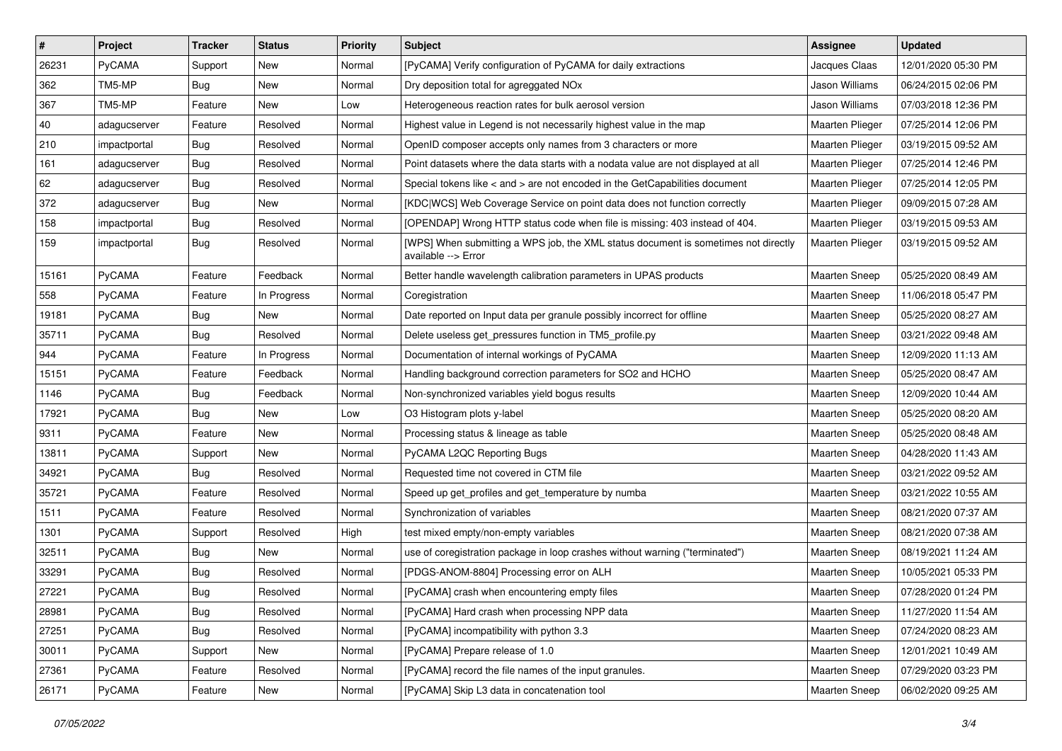| $\vert$ # | Project       | <b>Tracker</b> | <b>Status</b> | <b>Priority</b> | <b>Subject</b>                                                                                            | Assignee             | <b>Updated</b>      |
|-----------|---------------|----------------|---------------|-----------------|-----------------------------------------------------------------------------------------------------------|----------------------|---------------------|
| 26231     | PyCAMA        | Support        | New           | Normal          | [PyCAMA] Verify configuration of PyCAMA for daily extractions                                             | Jacques Claas        | 12/01/2020 05:30 PM |
| 362       | TM5-MP        | Bug            | <b>New</b>    | Normal          | Dry deposition total for agreggated NOx                                                                   | Jason Williams       | 06/24/2015 02:06 PM |
| 367       | TM5-MP        | Feature        | New           | Low             | Heterogeneous reaction rates for bulk aerosol version                                                     | Jason Williams       | 07/03/2018 12:36 PM |
| 40        | adagucserver  | Feature        | Resolved      | Normal          | Highest value in Legend is not necessarily highest value in the map                                       | Maarten Plieger      | 07/25/2014 12:06 PM |
| 210       | impactportal  | Bug            | Resolved      | Normal          | OpenID composer accepts only names from 3 characters or more                                              | Maarten Plieger      | 03/19/2015 09:52 AM |
| 161       | adagucserver  | Bug            | Resolved      | Normal          | Point datasets where the data starts with a nodata value are not displayed at all                         | Maarten Plieger      | 07/25/2014 12:46 PM |
| 62        | adagucserver  | <b>Bug</b>     | Resolved      | Normal          | Special tokens like < and > are not encoded in the GetCapabilities document                               | Maarten Plieger      | 07/25/2014 12:05 PM |
| 372       | adagucserver  | Bug            | New           | Normal          | [KDC WCS] Web Coverage Service on point data does not function correctly                                  | Maarten Plieger      | 09/09/2015 07:28 AM |
| 158       | impactportal  | <b>Bug</b>     | Resolved      | Normal          | [OPENDAP] Wrong HTTP status code when file is missing: 403 instead of 404.                                | Maarten Plieger      | 03/19/2015 09:53 AM |
| 159       | impactportal  | Bug            | Resolved      | Normal          | [WPS] When submitting a WPS job, the XML status document is sometimes not directly<br>available --> Error | Maarten Plieger      | 03/19/2015 09:52 AM |
| 15161     | PyCAMA        | Feature        | Feedback      | Normal          | Better handle wavelength calibration parameters in UPAS products                                          | Maarten Sneep        | 05/25/2020 08:49 AM |
| 558       | PyCAMA        | Feature        | In Progress   | Normal          | Coregistration                                                                                            | Maarten Sneep        | 11/06/2018 05:47 PM |
| 19181     | PyCAMA        | <b>Bug</b>     | New           | Normal          | Date reported on Input data per granule possibly incorrect for offline                                    | <b>Maarten Sneep</b> | 05/25/2020 08:27 AM |
| 35711     | PyCAMA        | Bug            | Resolved      | Normal          | Delete useless get pressures function in TM5 profile.py                                                   | <b>Maarten Sneep</b> | 03/21/2022 09:48 AM |
| 944       | PyCAMA        | Feature        | In Progress   | Normal          | Documentation of internal workings of PyCAMA                                                              | <b>Maarten Sneep</b> | 12/09/2020 11:13 AM |
| 15151     | PyCAMA        | Feature        | Feedback      | Normal          | Handling background correction parameters for SO2 and HCHO                                                | <b>Maarten Sneep</b> | 05/25/2020 08:47 AM |
| 1146      | PyCAMA        | Bug            | Feedback      | Normal          | Non-synchronized variables yield bogus results                                                            | Maarten Sneep        | 12/09/2020 10:44 AM |
| 17921     | PyCAMA        | <b>Bug</b>     | New           | Low             | O3 Histogram plots y-label                                                                                | <b>Maarten Sneep</b> | 05/25/2020 08:20 AM |
| 9311      | PyCAMA        | Feature        | New           | Normal          | Processing status & lineage as table                                                                      | <b>Maarten Sneep</b> | 05/25/2020 08:48 AM |
| 13811     | PyCAMA        | Support        | New           | Normal          | PyCAMA L2QC Reporting Bugs                                                                                | Maarten Sneep        | 04/28/2020 11:43 AM |
| 34921     | PyCAMA        | <b>Bug</b>     | Resolved      | Normal          | Requested time not covered in CTM file                                                                    | <b>Maarten Sneep</b> | 03/21/2022 09:52 AM |
| 35721     | PyCAMA        | Feature        | Resolved      | Normal          | Speed up get_profiles and get_temperature by numba                                                        | <b>Maarten Sneep</b> | 03/21/2022 10:55 AM |
| 1511      | PyCAMA        | Feature        | Resolved      | Normal          | Synchronization of variables                                                                              | <b>Maarten Sneep</b> | 08/21/2020 07:37 AM |
| 1301      | PyCAMA        | Support        | Resolved      | High            | test mixed empty/non-empty variables                                                                      | <b>Maarten Sneep</b> | 08/21/2020 07:38 AM |
| 32511     | PyCAMA        | Bug            | <b>New</b>    | Normal          | use of coregistration package in loop crashes without warning ("terminated")                              | Maarten Sneep        | 08/19/2021 11:24 AM |
| 33291     | PyCAMA        | Bug            | Resolved      | Normal          | [PDGS-ANOM-8804] Processing error on ALH                                                                  | <b>Maarten Sneep</b> | 10/05/2021 05:33 PM |
| 27221     | <b>PyCAMA</b> | Bug            | Resolved      | Normal          | [PyCAMA] crash when encountering empty files                                                              | Maarten Sneep        | 07/28/2020 01:24 PM |
| 28981     | PyCAMA        | <b>Bug</b>     | Resolved      | Normal          | [PyCAMA] Hard crash when processing NPP data                                                              | Maarten Sneep        | 11/27/2020 11:54 AM |
| 27251     | PyCAMA        | <b>Bug</b>     | Resolved      | Normal          | [PyCAMA] incompatibility with python 3.3                                                                  | Maarten Sneep        | 07/24/2020 08:23 AM |
| 30011     | PyCAMA        | Support        | New           | Normal          | [PyCAMA] Prepare release of 1.0                                                                           | Maarten Sneep        | 12/01/2021 10:49 AM |
| 27361     | PyCAMA        | Feature        | Resolved      | Normal          | [PyCAMA] record the file names of the input granules.                                                     | Maarten Sneep        | 07/29/2020 03:23 PM |
| 26171     | PyCAMA        | Feature        | New           | Normal          | [PyCAMA] Skip L3 data in concatenation tool                                                               | Maarten Sneep        | 06/02/2020 09:25 AM |